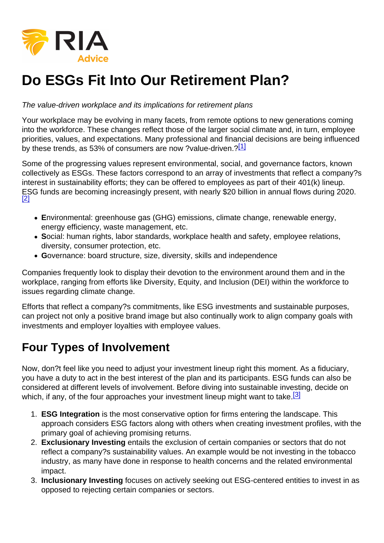## Do ESGs Fit Into Our Retirement Plan?

The value-driven workplace and its implications for retirement plans

Your workplace may be evolving in many facets, from remote options to new generations coming into the workforce. These changes reflect those of the larger social climate and, in turn, employee priorities, values, and expectations. Many professional and financial decisions are being influenced by these trends, as 53% of consumers are now ?value-driven.?[1]

Some of the progressing values represent environmental, social, and governance factors, known collectively as ESGs. These factors correspond to an array of investments that reflect a company?s interest in sustainability efforts; they can be offered to employees as part of their 401(k) lineup. ESG funds are becoming increasingly present, with nearly \$20 billion in annual flows during 2020. [2]

- Environmental: greenhouse gas (GHG) emissions, climate change, renewable energy, energy efficiency, waste management, etc.
- Social: human rights, labor standards, workplace health and safety, employee relations, diversity, consumer protection, etc.
- Governance: board structure, size, diversity, skills and independence

Companies frequently look to display their devotion to the environment around them and in the workplace, ranging from efforts like Diversity, Equity, and Inclusion (DEI) within the workforce to issues regarding climate change.

Efforts that reflect a company?s commitments, like ESG investments and sustainable purposes, can project not only a positive brand image but also continually work to align company goals with investments and employer loyalties with employee values.

## Four Types of Involvement

Now, don?t feel like you need to adjust your investment lineup right this moment. As a fiduciary, you have a duty to act in the best interest of the plan and its participants. ESG funds can also be considered at different levels of involvement. Before diving into sustainable investing, decide on which, if any, of the four approaches your investment lineup might want to take.<sup>[3]</sup>

- 1. ESG Integration is the most conservative option for firms entering the landscape. This approach considers ESG factors along with others when creating investment profiles, with the primary goal of achieving promising returns.
- 2. Exclusionary Investing entails the exclusion of certain companies or sectors that do not reflect a company?s sustainability values. An example would be not investing in the tobacco industry, as many have done in response to health concerns and the related environmental impact.
- 3. Inclusionary Investing focuses on actively seeking out ESG-centered entities to invest in as opposed to rejecting certain companies or sectors.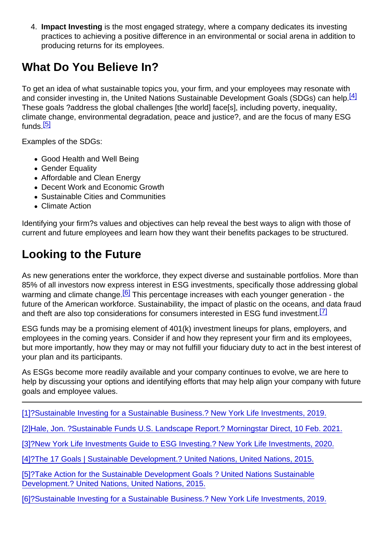4. Impact Investing is the most engaged strategy, where a company dedicates its investing practices to achieving a positive difference in an environmental or social arena in addition to producing returns for its employees.

## What Do You Believe In?

To get an idea of what sustainable topics you, your firm, and your employees may resonate with and consider investing in, the United Nations Sustainable Development Goals (SDGs) can help.<sup>[4]</sup> These goals ?address the global challenges [the world] face[s], including poverty, inequality, climate change, environmental degradation, peace and justice?, and are the focus of many ESG funds.<sup>[5]</sup>

Examples of the SDGs:

- Good Health and Well Being
- Gender Equality
- Affordable and Clean Energy
- Decent Work and Economic Growth
- Sustainable Cities and Communities
- Climate Action

Identifying your firm?s values and objectives can help reveal the best ways to align with those of current and future employees and learn how they want their benefits packages to be structured.

## Looking to the Future

As new generations enter the workforce, they expect diverse and sustainable portfolios. More than 85% of all investors now express interest in ESG investments, specifically those addressing global warming and climate change.<sup>[6]</sup> This percentage increases with each younger generation - the future of the American workforce. Sustainability, the impact of plastic on the oceans, and data fraud and theft are also top considerations for consumers interested in ESG fund investment.<sup>[7]</sup>

ESG funds may be a promising element of 401(k) investment lineups for plans, employers, and employees in the coming years. Consider if and how they represent your firm and its employees, but more importantly, how they may or may not fulfill your fiduciary duty to act in the best interest of your plan and its participants.

As ESGs become more readily available and your company continues to evolve, we are here to help by discussing your options and identifying efforts that may help align your company with future goals and employee values.

[1[\]?Sustainable Investing for a Sustainable Business.? New York Life Investments, 2019.](/nas/content/live/realinvestment/pdf_converter/about:blank)

[2[\]Hale, Jon. ?Sustainable Funds U.S. Landscape Report.? Morningstar Direct, 10 Feb. 2021.](https://www.morningstar.com/content/dam/marketing/shared/pdfs/Research/Sustainable_Funds_Landscape_2021.pdf?utm_source=eloqua&utm_medium=email&utm_campaign=none&utm_content=27482)

[3[\]?New York Life Investments Guide to ESG Investing.? New York Life Investments, 2020.](https://www.newyorklifeinvestments.com/assets/documents/brochures/guide-to-sustainable-investing.pdf)

[4[\]?The 17 Goals | Sustainable Development.? United Nations, United Nations, 2015.](https://sdgs.un.org/goals)

[5[\]?Take Action for the Sustainable Development Goals ? United Nations Sustainable](https://www.un.org/sustainabledevelopment/sustainable-development-goals/) [Development.? United Nations, United Nations, 2015.](https://www.un.org/sustainabledevelopment/sustainable-development-goals/)

[6[\]?Sustainable Investing for a Sustainable Business.? New York Life Investments, 2019.](/nas/content/live/realinvestment/pdf_converter/about:blank)